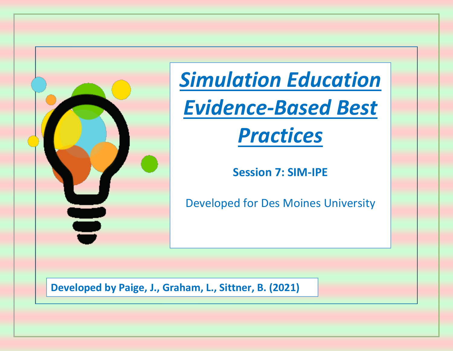

*Simulation Education Evidence-Based Best* 

# *Practices*

**Session 7: SIM-IPE**

Developed for Des Moines University

**Developed by Paige, J., Graham, L., Sittner, B. (2021)**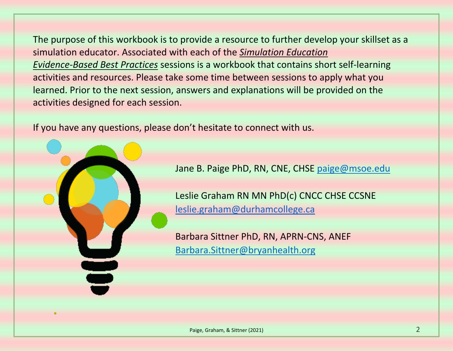The purpose of this workbook is to provide a resource to further develop your skillset as a simulation educator. Associated with each of the *Simulation Education Evidence-Based Best Practices* sessions is a workbook that contains short self-learning activities and resources. Please take some time between sessions to apply what you learned. Prior to the next session, answers and explanations will be provided on the activities designed for each session.

If you have any questions, please don't hesitate to connect with us.



Jane B. Paige PhD, RN, CNE, CHSE [paige@msoe.edu](mailto:paige@msoe.edu)

Leslie Graham RN MN PhD(c) CNCC CHSE CCSNE [leslie.graham@durhamcollege.ca](mailto:leslie.graham@durhamcollege.ca)

Barbara Sittner PhD, RN, APRN-CNS, ANEF [Barbara.Sittner@bryanhealth.org](mailto:Barbara.Sittner@bryanhealth.org)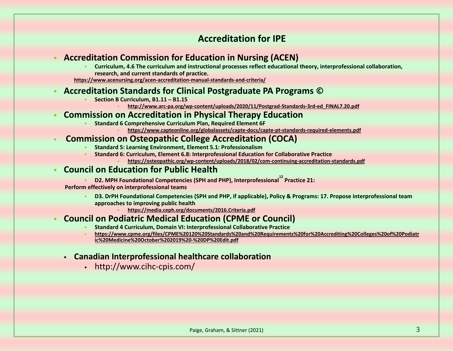# **Accreditation for IPE**

## • **Accreditation Commission for Education in Nursing (ACEN)**

- **Curriculum, 4.6 The curriculum and instructional processes reflect educational theory, interprofessional collaboration, research, and current standards of practice.**
- **<https://www.acenursing.org/acen-accreditation-manual-standards-and-criteria/>**

# • **Accreditation Standards for Clinical Postgraduate PA Programs ©**

- **Section B Curriculum, B1.11 – B1.15**
	- **[http://www.arc-pa.org/wp-content/uploads/2020/11/Postgrad-Standards-3rd-ed\\_FINAL7.20.pdf](http://www.arc-pa.org/wp-content/uploads/2020/11/Postgrad-Standards-3rd-ed_FINAL7.20.pdf)**

## • **Commission on Accreditation in Physical Therapy Education**

- **Standard 6 Comprehensive Curriculum Plan, Required Element 6F** 
	- **<https://www.capteonline.org/globalassets/capte-docs/capte-pt-standards-required-elements.pdf>**

# • **Commission on Osteopathic College Accreditation (COCA)**

- **Standard 5: Learning Environment, Element 5.1: Professionalism**
- **Standard 6: Curriculum, Element 6.8: Interprofessional Education for Collaborative Practice** • **<https://osteopathic.org/wp-content/uploads/2018/02/com-continuing-accreditation-standards.pdf>**

# • **Council on Education for Public Health**

**• D2. MPH Foundational Competencies (SPH and PHP), Interprofessional<sup>12</sup> Practice 21:** 

 **Perform effectively on interprofessional teams**

- **D3. DrPH Foundational Competencies (SPH and PHP, if applicable), Policy & Programs: 17. Propose interprofessional team approaches to improving public health**
	- **<https://media.ceph.org/documents/2016.Criteria.pdf>**

# • **Council on Podiatric Medical Education (CPME or Council)**

- **Standard 4 Curriculum, Domain VI: Interprofessional Collaborative Practice**
- **[https://www.cpme.org/files/CPME%20120%20Standards%20and%20Requirements%20for%20Accrediting%20Colleges%20of%20Podiatr](https://www.cpme.org/files/CPME%20120%20Standards%20and%20Requirements%20for%20Accrediting%20Colleges%20of%20Podiatric%20Medicine%20October%202019%20-%20DP%20Edit.pdf) [ic%20Medicine%20October%202019%20-%20DP%20Edit.pdf](https://www.cpme.org/files/CPME%20120%20Standards%20and%20Requirements%20for%20Accrediting%20Colleges%20of%20Podiatric%20Medicine%20October%202019%20-%20DP%20Edit.pdf)**
- **Canadian Interprofessional healthcare collaboration** 
	- http://www.cihc-cpis.com/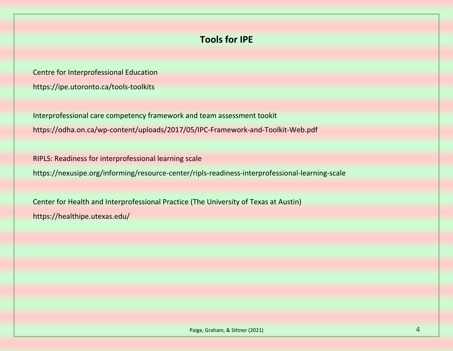# **Tools for IPE**

Centre for Interprofessional Education <https://ipe.utoronto.ca/tools-toolkits>

Interprofessional care competency framework and team assessment tookit https://odha.on.ca/wp-content/uploads/2017/05/IPC-Framework-and-Toolkit-Web.pdf

RIPLS: Readiness for interprofessional learning scale

<https://nexusipe.org/informing/resource-center/ripls-readiness-interprofessional-learning-scale>

Center for Health and Interprofessional Practice (The University of Texas at Austin) https://healthipe.utexas.edu/